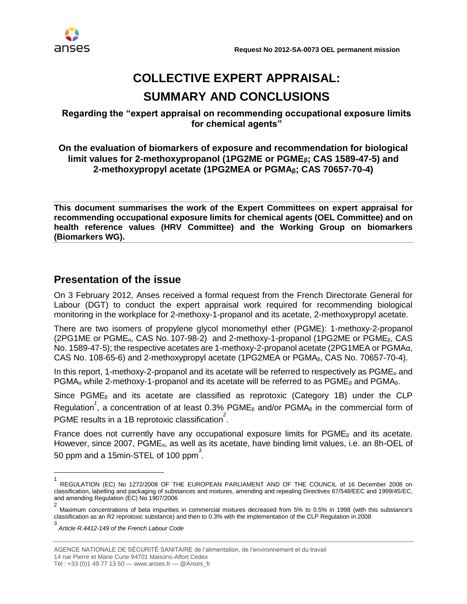

# **COLLECTIVE EXPERT APPRAISAL: SUMMARY AND CONCLUSIONS**

## **Regarding the "expert appraisal on recommending occupational exposure limits for chemical agents"**

### **On the evaluation of biomarkers of exposure and recommendation for biological limit values for 2-methoxypropanol (1PG2ME or PGMEβ; CAS 1589-47-5) and 2-methoxypropyl acetate (1PG2MEA or PGMAβ; CAS 70657-70-4)**

**This document summarises the work of the Expert Committees on expert appraisal for recommending occupational exposure limits for chemical agents (OEL Committee) and on health reference values (HRV Committee) and the Working Group on biomarkers (Biomarkers WG).**

# **Presentation of the issue**

On 3 February 2012, Anses received a formal request from the French Directorate General for Labour (DGT) to conduct the expert appraisal work required for recommending biological monitoring in the workplace for 2-methoxy-1-propanol and its acetate, 2-methoxypropyl acetate.

There are two isomers of propylene glycol monomethyl ether (PGME): 1-methoxy-2-propanol (2PG1ME or PGME<sub> $\alpha$ </sub>, CAS No. 107-98-2) and 2-methoxy-1-propanol (1PG2ME or PGME $_{\beta}$ , CAS No. 1589-47-5); the respective acetates are 1-methoxy-2-propanol acetate (2PG1MEA or PGMAα, CAS No. 108-65-6) and 2-methoxypropyl acetate (1PG2MEA or PGMAβ, CAS No. 70657-70-4).

In this report, 1-methoxy-2-propanol and its acetate will be referred to respectively as  $PGME<sub>a</sub>$  and PGMA<sub>α</sub> while 2-methoxy-1-propanol and its acetate will be referred to as PGME<sub>β</sub> and PGMA<sub>β</sub>.

Since  $PGME<sub>β</sub>$  and its acetate are classified as reprotoxic (Category 1B) under the CLP Regulation<sup>1</sup>, a concentration of at least 0.3% PGME<sub>β</sub> and/or PGMA<sub>β</sub> in the commercial form of PGME results in a 1B reprotoxic classification<sup>2</sup>.

France does not currently have any occupational exposure limits for  $PGME<sub>8</sub>$  and its acetate. However, since 2007, PGMEα, as well as its acetate, have binding limit values, i.e. an 8h-OEL of 50 ppm and a 15min-STEL of 100 ppm*<sup>3</sup>* .

Tél : +33 (0)1 49 77 13 50 — [www.anses.fr](http://www.anses.fr/) — @Anses\_fr

<sup>1</sup> REGULATION (EC) No 1272/2008 OF THE EUROPEAN PARLIAMENT AND OF THE COUNCIL of 16 December 2008 on classification, labelling and packaging of substances and mixtures, amending and repealing Directives 67/548/EEC and 1999/45/EC, and amending Regulation (EC) No 1907/2006

<sup>2</sup> Maximum concentrations of beta impurities in commercial mixtures decreased from 5% to 0.5% in 1998 (with this substance's classification as an R2 reprotoxic substance) and then to 0.3% with the implementation of the CLP Regulation in 2008

<sup>3</sup> *Article R.4412-149 of the French Labour Code*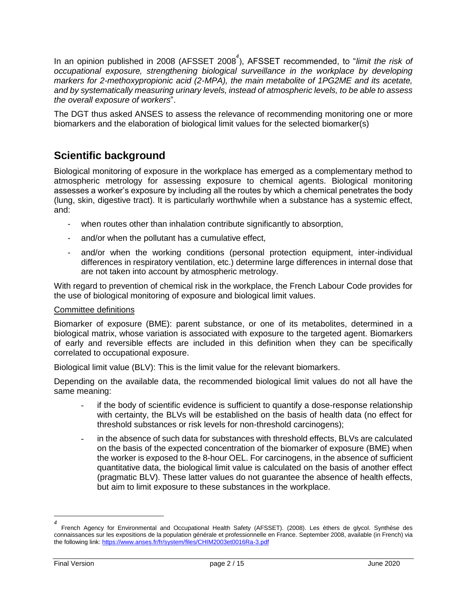In an opinion published in 2008 (AFSSET 2008*<sup>4</sup>* ), AFSSET recommended, to "*limit the risk of occupational exposure, strengthening biological surveillance in the workplace by developing markers for 2-methoxypropionic acid (2-MPA), the main metabolite of 1PG2ME and its acetate, and by systematically measuring urinary levels, instead of atmospheric levels, to be able to assess the overall exposure of workers*".

The DGT thus asked ANSES to assess the relevance of recommending monitoring one or more biomarkers and the elaboration of biological limit values for the selected biomarker(s)

# **Scientific background**

Biological monitoring of exposure in the workplace has emerged as a complementary method to atmospheric metrology for assessing exposure to chemical agents. Biological monitoring assesses a worker's exposure by including all the routes by which a chemical penetrates the body (lung, skin, digestive tract). It is particularly worthwhile when a substance has a systemic effect, and:

- when routes other than inhalation contribute significantly to absorption,
- and/or when the pollutant has a cumulative effect,
- and/or when the working conditions (personal protection equipment, inter-individual differences in respiratory ventilation, etc.) determine large differences in internal dose that are not taken into account by atmospheric metrology.

With regard to prevention of chemical risk in the workplace, the French Labour Code provides for the use of biological monitoring of exposure and biological limit values.

#### Committee definitions

Biomarker of exposure (BME): parent substance, or one of its metabolites, determined in a biological matrix, whose variation is associated with exposure to the targeted agent. Biomarkers of early and reversible effects are included in this definition when they can be specifically correlated to occupational exposure.

Biological limit value (BLV): This is the limit value for the relevant biomarkers.

Depending on the available data, the recommended biological limit values do not all have the same meaning:

- if the body of scientific evidence is sufficient to quantify a dose-response relationship with certainty, the BLVs will be established on the basis of health data (no effect for threshold substances or risk levels for non-threshold carcinogens);
- in the absence of such data for substances with threshold effects, BLVs are calculated on the basis of the expected concentration of the biomarker of exposure (BME) when the worker is exposed to the 8-hour OEL. For carcinogens, in the absence of sufficient quantitative data, the biological limit value is calculated on the basis of another effect (pragmatic BLV). These latter values do not guarantee the absence of health effects, but aim to limit exposure to these substances in the workplace.

 $\overline{a}$ 

*<sup>4</sup>* French Agency for Environmental and Occupational Health Safety (AFSSET). (2008). Les éthers de glycol. Synthèse des connaissances sur les expositions de la population générale et professionnelle en France. September 2008, available (in French) via the following link:<https://www.anses.fr/fr/system/files/CHIM2003et0016Ra-3.pdf>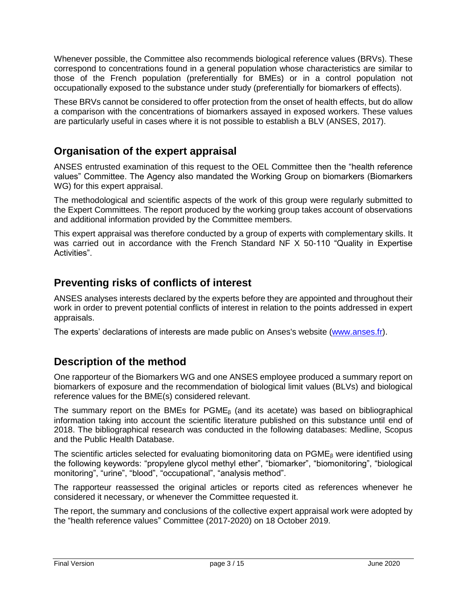Whenever possible, the Committee also recommends biological reference values (BRVs). These correspond to concentrations found in a general population whose characteristics are similar to those of the French population (preferentially for BMEs) or in a control population not occupationally exposed to the substance under study (preferentially for biomarkers of effects).

These BRVs cannot be considered to offer protection from the onset of health effects, but do allow a comparison with the concentrations of biomarkers assayed in exposed workers. These values are particularly useful in cases where it is not possible to establish a BLV (ANSES, 2017).

# **Organisation of the expert appraisal**

ANSES entrusted examination of this request to the OEL Committee then the "health reference values" Committee. The Agency also mandated the Working Group on biomarkers (Biomarkers WG) for this expert appraisal.

The methodological and scientific aspects of the work of this group were regularly submitted to the Expert Committees. The report produced by the working group takes account of observations and additional information provided by the Committee members.

This expert appraisal was therefore conducted by a group of experts with complementary skills. It was carried out in accordance with the French Standard NF X 50-110 "Quality in Expertise Activities".

# **Preventing risks of conflicts of interest**

ANSES analyses interests declared by the experts before they are appointed and throughout their work in order to prevent potential conflicts of interest in relation to the points addressed in expert appraisals.

The experts' declarations of interests are made public on Anses's website [\(www.anses.fr\)](http://www.anses.fr/).

# **Description of the method**

One rapporteur of the Biomarkers WG and one ANSES employee produced a summary report on biomarkers of exposure and the recommendation of biological limit values (BLVs) and biological reference values for the BME(s) considered relevant.

The summary report on the BMEs for  $PGME<sub>β</sub>$  (and its acetate) was based on bibliographical information taking into account the scientific literature published on this substance until end of 2018. The bibliographical research was conducted in the following databases: Medline, Scopus and the Public Health Database.

The scientific articles selected for evaluating biomonitoring data on  $PGME<sub>β</sub>$  were identified using the following keywords: "propylene glycol methyl ether", "biomarker", "biomonitoring", "biological monitoring", "urine", "blood", "occupational", "analysis method".

The rapporteur reassessed the original articles or reports cited as references whenever he considered it necessary, or whenever the Committee requested it.

The report, the summary and conclusions of the collective expert appraisal work were adopted by the "health reference values" Committee (2017-2020) on 18 October 2019.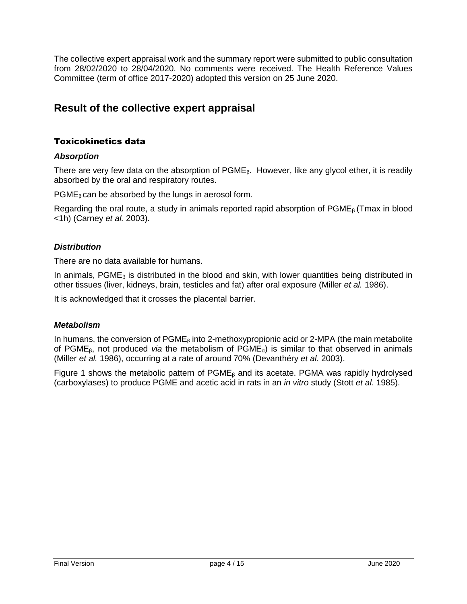The collective expert appraisal work and the summary report were submitted to public consultation from 28/02/2020 to 28/04/2020. No comments were received. The Health Reference Values Committee (term of office 2017-2020) adopted this version on 25 June 2020.

# **Result of the collective expert appraisal**

# Toxicokinetics data

### *Absorption*

There are very few data on the absorption of  $PGME<sub>8</sub>$ . However, like any glycol ether, it is readily absorbed by the oral and respiratory routes.

 $PGME<sub>β</sub>$  can be absorbed by the lungs in aerosol form.

Regarding the oral route, a study in animals reported rapid absorption of  $PGME<sub>6</sub>$  (Tmax in blood <1h) (Carney *et al.* 2003).

### *Distribution*

There are no data available for humans.

In animals,  $PGME<sub>6</sub>$  is distributed in the blood and skin, with lower quantities being distributed in other tissues (liver, kidneys, brain, testicles and fat) after oral exposure (Miller *et al.* 1986).

It is acknowledged that it crosses the placental barrier.

#### *Metabolism*

In humans, the conversion of  $PGME<sub>β</sub>$  into 2-methoxypropionic acid or 2-MPA (the main metabolite of PGMEβ, not produced *via* the metabolism of PGMEα) is similar to that observed in animals (Miller *et al.* 1986), occurring at a rate of around 70% (Devanthéry *et al*. 2003).

Figure 1 shows the metabolic pattern of  $PGME<sub>\beta</sub>$  and its acetate. PGMA was rapidly hydrolysed (carboxylases) to produce PGME and acetic acid in rats in an *in vitro* study (Stott *et al*. 1985).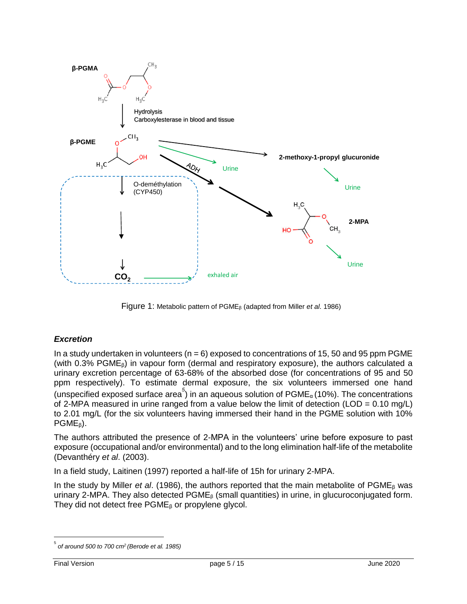

Figure 1: Metabolic pattern of PGME<sup>β</sup> (adapted from Miller *et al*. 1986)

## *Excretion*

In a study undertaken in volunteers  $(n = 6)$  exposed to concentrations of 15, 50 and 95 ppm PGME (with 0.3% PGME $<sub>6</sub>$ ) in vapour form (dermal and respiratory exposure), the authors calculated a</sub> urinary excretion percentage of 63-68% of the absorbed dose (for concentrations of 95 and 50 ppm respectively). To estimate dermal exposure, the six volunteers immersed one hand (unspecified exposed surface area<sup>5</sup>) in an aqueous solution of PGME<sub>α</sub> (10%). The concentrations of 2-MPA measured in urine ranged from a value below the limit of detection (LOD =  $0.10$  mg/L) to 2.01 mg/L (for the six volunteers having immersed their hand in the PGME solution with 10%  $PGME_{\beta}$ ).

The authors attributed the presence of 2-MPA in the volunteers' urine before exposure to past exposure (occupational and/or environmental) and to the long elimination half-life of the metabolite (Devanthéry *et al*. (2003).

In a field study, Laitinen (1997) reported a half-life of 15h for urinary 2-MPA.

In the study by Miller *et al*. (1986), the authors reported that the main metabolite of PGME<sup>β</sup> was urinary 2-MPA. They also detected  $PGME<sub>β</sub>$  (small quantities) in urine, in glucuroconjugated form. They did not detect free  $PGME<sub>β</sub>$  or propylene glycol.

 $\overline{a}$ 

<sup>5</sup> *of around 500 to 700 cm<sup>2</sup>(Berode et al. 1985)*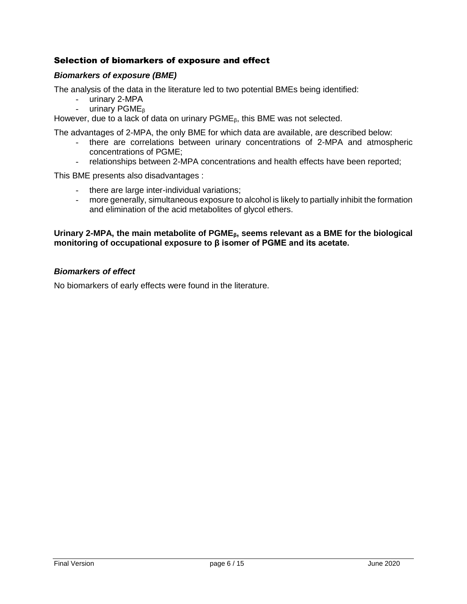### Selection of biomarkers of exposure and effect

#### *Biomarkers of exposure (BME)*

The analysis of the data in the literature led to two potential BMEs being identified:

- urinary 2-MPA<br>- urinary PGMF<sub>8</sub>
- urinary PGME<sub>β</sub>

However, due to a lack of data on urinary PGME<sub>β</sub>, this BME was not selected.

The advantages of 2-MPA, the only BME for which data are available, are described below:

- there are correlations between urinary concentrations of 2-MPA and atmospheric concentrations of PGME;
- relationships between 2-MPA concentrations and health effects have been reported;

This BME presents also disadvantages :

- there are large inter-individual variations;
- more generally, simultaneous exposure to alcohol is likely to partially inhibit the formation and elimination of the acid metabolites of glycol ethers.

#### **Urinary 2-MPA, the main metabolite of PGMEβ, seems relevant as a BME for the biological monitoring of occupational exposure to β isomer of PGME and its acetate.**

#### *Biomarkers of effect*

No biomarkers of early effects were found in the literature.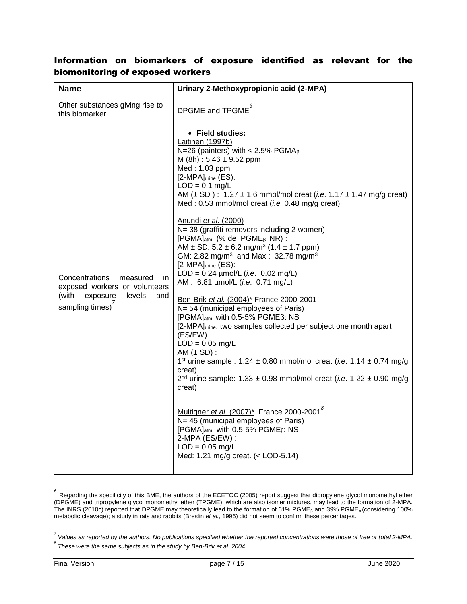# Information on biomarkers of exposure identified as relevant for the biomonitoring of exposed workers

| <b>Name</b>                                                                                                                 | Urinary 2-Methoxypropionic acid (2-MPA)                                                                                                                                                                                                                                                                                                                                                                                                                                                                                                                                                                                                                                                                                                                                                                                                                                                                                                                                                                                                                                                                                                                                                                                                                                                                                                                                                                                                    |
|-----------------------------------------------------------------------------------------------------------------------------|--------------------------------------------------------------------------------------------------------------------------------------------------------------------------------------------------------------------------------------------------------------------------------------------------------------------------------------------------------------------------------------------------------------------------------------------------------------------------------------------------------------------------------------------------------------------------------------------------------------------------------------------------------------------------------------------------------------------------------------------------------------------------------------------------------------------------------------------------------------------------------------------------------------------------------------------------------------------------------------------------------------------------------------------------------------------------------------------------------------------------------------------------------------------------------------------------------------------------------------------------------------------------------------------------------------------------------------------------------------------------------------------------------------------------------------------|
| Other substances giving rise to<br>this biomarker                                                                           | DPGME and $TPGME^6$                                                                                                                                                                                                                                                                                                                                                                                                                                                                                                                                                                                                                                                                                                                                                                                                                                                                                                                                                                                                                                                                                                                                                                                                                                                                                                                                                                                                                        |
| Concentrations<br>measured<br>in.<br>exposed workers or volunteers<br>(with<br>exposure<br>levels<br>and<br>sampling times) | • Field studies:<br>Laitinen (1997b)<br>N=26 (painters) with < 2.5% PGMA $\beta$<br>M (8h): $5.46 \pm 9.52$ ppm<br>Med: 1.03 ppm<br>$[2-MPA]$ urine $(ES)$ :<br>$LOD = 0.1$ mg/L<br>AM ( $\pm$ SD) : 1.27 $\pm$ 1.6 mmol/mol creat ( <i>i.e.</i> 1.17 $\pm$ 1.47 mg/g creat)<br>Med: 0.53 mmol/mol creat (i.e. 0.48 mg/g creat)<br>Anundi et al. (2000)<br>N= 38 (graffiti removers including 2 women)<br>[PGMA] <sub>atm</sub> (% de PGME <sub>ß</sub> NR) :<br>AM $\pm$ SD: 5.2 $\pm$ 6.2 mg/m <sup>3</sup> (1.4 $\pm$ 1.7 ppm)<br>GM: 2.82 mg/m <sup>3</sup> and Max: 32.78 mg/m <sup>3</sup><br>[2-MPA]urine (ES):<br>$LOD = 0.24$ µmol/L ( <i>i.e.</i> 0.02 mg/L)<br>AM: 6.81 µmol/L (i.e. 0.71 mg/L)<br>Ben-Brik et al. (2004)* France 2000-2001<br>N= 54 (municipal employees of Paris)<br>[PGMA] <sub>atm</sub> with 0.5-5% PGMEß: NS<br>[2-MPA]urine: two samples collected per subject one month apart<br>(ES/EW)<br>$LOD = 0.05$ mg/L<br>AM $(\pm SD)$ :<br>1 <sup>st</sup> urine sample : 1.24 $\pm$ 0.80 mmol/mol creat ( <i>i.e.</i> 1.14 $\pm$ 0.74 mg/g<br>creat)<br>2 <sup>nd</sup> urine sample: $1.33 \pm 0.98$ mmol/mol creat ( <i>i.e.</i> $1.22 \pm 0.90$ mg/g<br>creat)<br>Multigner et al. (2007)* France 2000-2001 <sup>8</sup><br>N= 45 (municipal employees of Paris)<br>[PGMA] <sub>atm</sub> with 0.5-5% PGME <sub>B</sub> : NS<br>2-MPA (ES/EW) :<br>$LOD = 0.05$ mg/L<br>Med: 1.21 mg/g creat. (< LOD-5.14) |

*<sup>6</sup>* Regarding the specificity of this BME, the authors of the ECETOC (2005) report suggest that dipropylene glycol monomethyl ether (DPGME) and tripropylene glycol monomethyl ether (TPGME), which are also isomer mixtures, may lead to the formation of 2-MPA. The INRS (2010c) reported that DPGME may theoretically lead to the formation of 61% PGME<sub>β</sub> and 39% PGME<sub>α</sub> (considering 100% metabolic cleavage); a study in rats and rabbits (Breslin *et al.*, 1996) did not seem to confirm these percentages.

 $\overline{a}$ 

<sup>7</sup> *Values as reported by the authors. No publications specified whether the reported concentrations were those of free or total 2-MPA.*

<sup>8</sup> *These were the same subjects as in the study by Ben-Brik et al. 2004*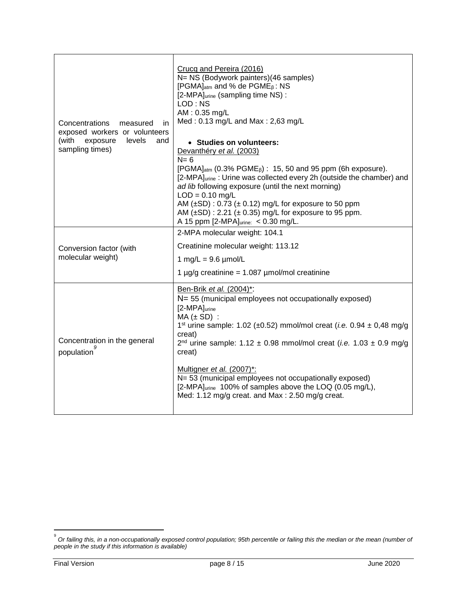| Concentrations<br>measured<br>in<br>exposed workers or volunteers<br>(with<br>exposure<br>levels<br>and<br>sampling times) | Crucq and Pereira (2016)<br>N= NS (Bodywork painters)(46 samples)<br>[PGMA] <sub>atm</sub> and % de PGME <sub>B</sub> : NS<br>[2-MPA]urine (sampling time NS) :<br>LOD: NS<br>AM: 0.35 mg/L<br>Med: 0.13 mg/L and Max: 2,63 mg/L<br>• Studies on volunteers:<br>Devanthéry et al. (2003)<br>$N = 6$<br>[PGMA] <sub>atm</sub> (0.3% PGME <sub><math>\beta</math></sub> ) : 15, 50 and 95 ppm (6h exposure).<br>[2-MPA]urine: Urine was collected every 2h (outside the chamber) and<br>ad lib following exposure (until the next morning)<br>$LOD = 0.10$ mg/L<br>AM $(\pm SD)$ : 0.73 $(\pm 0.12)$ mg/L for exposure to 50 ppm<br>AM $(\pm SD)$ : 2.21 $(\pm 0.35)$ mg/L for exposure to 95 ppm.<br>A 15 ppm [2-MPA]urine: < 0.30 mg/L. |
|----------------------------------------------------------------------------------------------------------------------------|-----------------------------------------------------------------------------------------------------------------------------------------------------------------------------------------------------------------------------------------------------------------------------------------------------------------------------------------------------------------------------------------------------------------------------------------------------------------------------------------------------------------------------------------------------------------------------------------------------------------------------------------------------------------------------------------------------------------------------------------|
| Conversion factor (with<br>molecular weight)                                                                               | 2-MPA molecular weight: 104.1<br>Creatinine molecular weight: 113.12<br>1 mg/L = $9.6 \mu$ mol/L<br>1 µg/g creatinine = $1.087$ µmol/mol creatinine                                                                                                                                                                                                                                                                                                                                                                                                                                                                                                                                                                                     |
| Concentration in the general<br>population                                                                                 | Ben-Brik et al. (2004)*:<br>N= 55 (municipal employees not occupationally exposed)<br>[2-MPA]urine<br>$MA (± SD)$ :<br>1 <sup>st</sup> urine sample: 1.02 (±0.52) mmol/mol creat ( <i>i.e.</i> 0.94 ± 0,48 mg/g<br>creat)<br>2 <sup>nd</sup> urine sample: $1.12 \pm 0.98$ mmol/mol creat ( <i>i.e.</i> $1.03 \pm 0.9$ mg/g<br>creat)<br>Multigner et al. (2007)*:<br>N= 53 (municipal employees not occupationally exposed)<br>[2-MPA]urine 100% of samples above the LOQ (0.05 mg/L),<br>Med: 1.12 mg/g creat. and Max: 2.50 mg/g creat.                                                                                                                                                                                              |

 9 *Or failing this, in a non-occupationally exposed control population; 95th percentile or failing this the median or the mean (number of people in the study if this information is available)*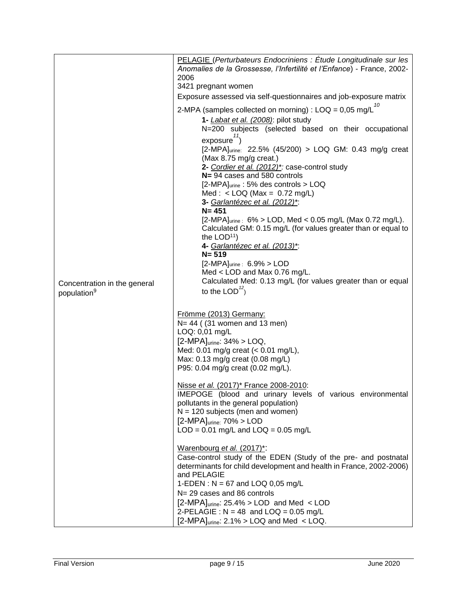|                                                         | PELAGIE (Perturbateurs Endocriniens : Étude Longitudinale sur les<br>Anomalies de la Grossesse, l'Infertilité et l'Enfance) - France, 2002-<br>2006<br>3421 pregnant women<br>Exposure assessed via self-questionnaires and job-exposure matrix<br>2-MPA (samples collected on morning) : $\text{LOQ} = 0.05 \text{ mg/L}^{10}$<br>1- <i>Labat et al. (2008)</i> : pilot study<br>N=200 subjects (selected based on their occupational<br>exposure <sup>11</sup><br>[2-MPA]urine: 22.5% (45/200) > LOQ GM: 0.43 mg/g creat<br>(Max 8.75 mg/g creat.)<br>2- Cordier et al. (2012)*: case-control study<br>N= 94 cases and 580 controls<br>[2-MPA]urine: 5% des controls > LOQ<br>Med : < LOQ (Max = $0.72$ mg/L)<br>3- Garlantézec et al. (2012)*:<br>$N = 451$<br>$[2-MPA]_{urine}$ : 6% > LOD, Med < 0.05 mg/L (Max 0.72 mg/L).<br>Calculated GM: 0.15 mg/L (for values greater than or equal to<br>the $LOD11$ )<br>4- Garlantézec et al. (2013)*: |  |
|---------------------------------------------------------|------------------------------------------------------------------------------------------------------------------------------------------------------------------------------------------------------------------------------------------------------------------------------------------------------------------------------------------------------------------------------------------------------------------------------------------------------------------------------------------------------------------------------------------------------------------------------------------------------------------------------------------------------------------------------------------------------------------------------------------------------------------------------------------------------------------------------------------------------------------------------------------------------------------------------------------------------|--|
|                                                         | $N = 519$<br>$[2-MPA]$ urine : $6.9\%$ > LOD<br>Med $<$ LOD and Max 0.76 mg/L.                                                                                                                                                                                                                                                                                                                                                                                                                                                                                                                                                                                                                                                                                                                                                                                                                                                                       |  |
| Concentration in the general<br>population <sup>9</sup> | Calculated Med: 0.13 mg/L (for values greater than or equal<br>to the LOD $^{12}$ )                                                                                                                                                                                                                                                                                                                                                                                                                                                                                                                                                                                                                                                                                                                                                                                                                                                                  |  |
|                                                         | Frömme (2013) Germany:<br>$N = 44$ ( $(31$ women and 13 men)<br>LOQ: 0,01 mg/L<br>$[2-MPA]$ urine: $34\%$ > LOQ,<br>Med: 0.01 mg/g creat $(< 0.01$ mg/L),<br>Max: 0.13 mg/g creat (0.08 mg/L)<br>P95: 0.04 mg/g creat (0.02 mg/L).                                                                                                                                                                                                                                                                                                                                                                                                                                                                                                                                                                                                                                                                                                                   |  |
|                                                         | Nisse et al. (2017)* France 2008-2010:<br>IMEPOGE (blood and urinary levels of various environmental<br>pollutants in the general population)<br>$N = 120$ subjects (men and women)<br>$[2-MPA]$ urine: $70\%$ > LOD<br>$LOD = 0.01$ mg/L and $LOQ = 0.05$ mg/L                                                                                                                                                                                                                                                                                                                                                                                                                                                                                                                                                                                                                                                                                      |  |
|                                                         | Warenbourg et al. (2017)*:<br>Case-control study of the EDEN (Study of the pre- and postnatal<br>determinants for child development and health in France, 2002-2006)<br>and PELAGIE<br>1-EDEN : $N = 67$ and LOQ 0,05 mg/L<br>N= 29 cases and 86 controls<br>$[2-MPA]_{\text{urine}}$ : 25.4% > LOD and Med < LOD<br>2-PELAGIE : $N = 48$ and $LOQ = 0.05$ mg/L<br>$[2-MPA]$ <sub>urine</sub> : 2.1% > LOQ and Med < LOQ.                                                                                                                                                                                                                                                                                                                                                                                                                                                                                                                            |  |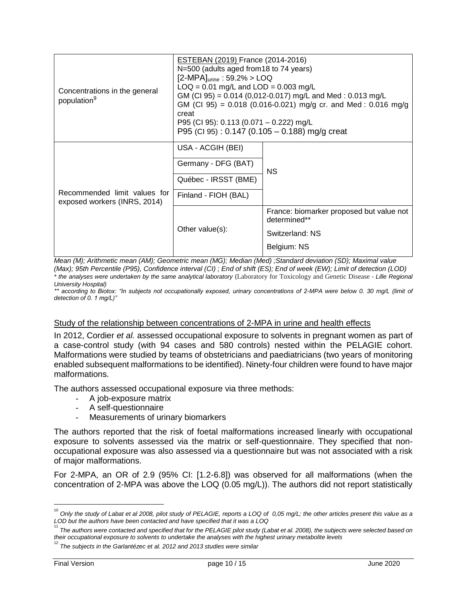| Concentrations in the general<br>population <sup>9</sup>     | <b>ESTEBAN (2019) France (2014-2016)</b><br>N=500 (adults aged from 18 to 74 years)<br>$[2-MPA]$ urine : 59.2% > LOQ<br>$LOQ = 0.01$ mg/L and $LOD = 0.003$ mg/L<br>GM (CI 95) = 0.014 (0,012-0.017) mg/L and Med : 0.013 mg/L<br>GM (CI 95) = 0.018 (0.016-0.021) mg/g cr. and Med : 0.016 mg/g<br>creat<br>P95 (CI 95): 0.113 (0.071 - 0.222) mg/L<br>P95 (CI 95): $0.147$ (0.105 – 0.188) mg/g creat |                                                                                            |  |
|--------------------------------------------------------------|---------------------------------------------------------------------------------------------------------------------------------------------------------------------------------------------------------------------------------------------------------------------------------------------------------------------------------------------------------------------------------------------------------|--------------------------------------------------------------------------------------------|--|
| Recommended limit values for<br>exposed workers (INRS, 2014) | USA - ACGIH (BEI)<br>Germany - DFG (BAT)<br>Québec - IRSST (BME)<br>Finland - FIOH (BAL)                                                                                                                                                                                                                                                                                                                | NS.                                                                                        |  |
|                                                              | Other value(s):                                                                                                                                                                                                                                                                                                                                                                                         | France: biomarker proposed but value not<br>determined**<br>Switzerland: NS<br>Belgium: NS |  |

*Mean (M); Arithmetic mean (AM); Geometric mean (MG); Median (Med) ;Standard deviation (SD); Maximal value (Max); 95th Percentile (P95), Confidence interval (CI) ; End of shift (ES); End of week (EW); Limit of detection (LOD)*

*\* the analyses were undertaken by the same analytical laboratory* (Laboratory for Toxicology and Genetic Disease *- Lille Regional University Hospital)*

*\*\* according to Biotox: "In subjects not occupationally exposed, urinary concentrations of 2-MPA were below 0. 30 mg/L (limit of detection of 0. 1 mg/L)"*

#### Study of the relationship between concentrations of 2-MPA in urine and health effects

In 2012, Cordier *et al.* assessed occupational exposure to solvents in pregnant women as part of a case-control study (with 94 cases and 580 controls) nested within the PELAGIE cohort. Malformations were studied by teams of obstetricians and paediatricians (two years of monitoring enabled subsequent malformations to be identified). Ninety-four children were found to have major malformations.

The authors assessed occupational exposure via three methods:

- A job-exposure matrix
- A self-questionnaire
- Measurements of urinary biomarkers

The authors reported that the risk of foetal malformations increased linearly with occupational exposure to solvents assessed via the matrix or self-questionnaire. They specified that nonoccupational exposure was also assessed via a questionnaire but was not associated with a risk of major malformations.

For 2-MPA, an OR of 2.9 (95% CI: [1.2-6.8]) was observed for all malformations (when the concentration of 2-MPA was above the LOQ (0.05 mg/L)). The authors did not report statistically

 $\frac{1}{10}$ *Only the study of Labat et al 2008, pilot study of PELAGIE, reports a LOQ of 0,05 mg/L; the other articles present this value as a LOD but the authors have been contacted and have specified that it was a LOQ* 

<sup>11</sup> *The authors were contacted and specified that for the PELAGIE pilot study (Labat et al. 2008), the subjects were selected based on their occupational exposure to solvents to undertake the analyses with the highest urinary metabolite levels* 

<sup>12</sup> *The subjects in the Garlantézec et al. 2012 and 2013 studies were similar*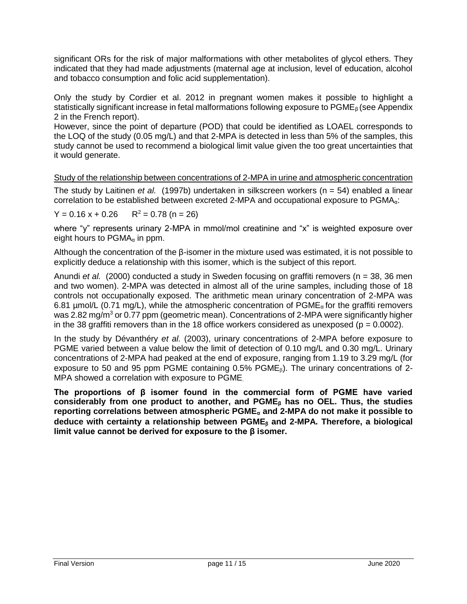significant ORs for the risk of major malformations with other metabolites of glycol ethers. They indicated that they had made adjustments (maternal age at inclusion, level of education, alcohol and tobacco consumption and folic acid supplementation).

Only the study by Cordier et al. 2012 in pregnant women makes it possible to highlight a statistically significant increase in fetal malformations following exposure to PGME<sub>β</sub> (see Appendix 2 in the French report).

However, since the point of departure (POD) that could be identified as LOAEL corresponds to the LOQ of the study (0.05 mg/L) and that 2-MPA is detected in less than 5% of the samples, this study cannot be used to recommend a biological limit value given the too great uncertainties that it would generate.

Study of the relationship between concentrations of 2-MPA in urine and atmospheric concentration The study by Laitinen *et al.* (1997b) undertaken in silkscreen workers (n = 54) enabled a linear correlation to be established between excreted 2-MPA and occupational exposure to PGMAα:

 $Y = 0.16 x + 0.26$  R<sup>2</sup> = 0.78 (n = 26)

where "y" represents urinary 2-MPA in mmol/mol creatinine and "x" is weighted exposure over eight hours to  $PGMA_{\alpha}$  in ppm.

Although the concentration of the β-isomer in the mixture used was estimated, it is not possible to explicitly deduce a relationship with this isomer, which is the subject of this report.

Anundi *et al.* (2000) conducted a study in Sweden focusing on graffiti removers (n = 38, 36 men and two women). 2-MPA was detected in almost all of the urine samples, including those of 18 controls not occupationally exposed. The arithmetic mean urinary concentration of 2-MPA was 6.81 µmol/L (0.71 mg/L), while the atmospheric concentration of  $PGME_\alpha$  for the graffiti removers was 2.82 mg/m<sup>3</sup> or 0.77 ppm (geometric mean). Concentrations of 2-MPA were significantly higher in the 38 graffiti removers than in the 18 office workers considered as unexposed ( $p = 0.0002$ ).

In the study by Dévanthéry *et al.* (2003), urinary concentrations of 2-MPA before exposure to PGME varied between a value below the limit of detection of 0.10 mg/L and 0.30 mg/L. Urinary concentrations of 2-MPA had peaked at the end of exposure, ranging from 1.19 to 3.29 mg/L (for exposure to 50 and 95 ppm PGME containing  $0.5\%$  PGME $_B$ ). The urinary concentrations of 2-MPA showed a correlation with exposure to PGME.

**The proportions of β isomer found in the commercial form of PGME have varied considerably from one product to another, and PGME<sup>β</sup> has no OEL. Thus, the studies reporting correlations between atmospheric PGME<sup>α</sup> and 2-MPA do not make it possible to**  deduce with certainty a relationship between PGME<sub>8</sub> and 2-MPA. Therefore, a biological **limit value cannot be derived for exposure to the β isomer.**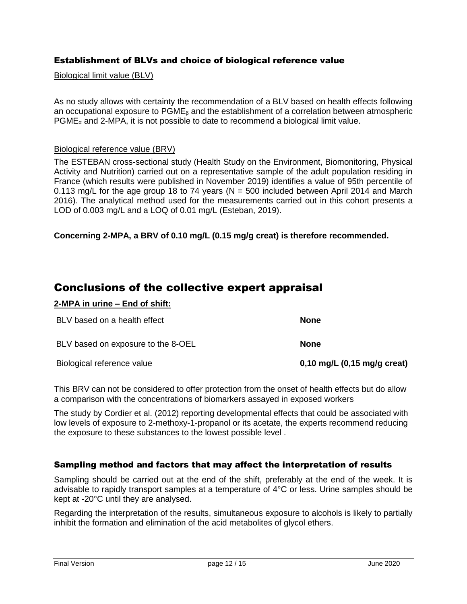## Establishment of BLVs and choice of biological reference value

## Biological limit value (BLV)

As no study allows with certainty the recommendation of a BLV based on health effects following an occupational exposure to  $PGME<sub>\beta</sub>$  and the establishment of a correlation between atmospheric  $PGME<sub>a</sub>$  and 2-MPA, it is not possible to date to recommend a biological limit value.

#### Biological reference value (BRV)

The ESTEBAN cross-sectional study (Health Study on the Environment, Biomonitoring, Physical Activity and Nutrition) carried out on a representative sample of the adult population residing in France (which results were published in November 2019) identifies a value of 95th percentile of 0.113 mg/L for the age group 18 to 74 years ( $N = 500$  included between April 2014 and March 2016). The analytical method used for the measurements carried out in this cohort presents a LOD of 0.003 mg/L and a LOQ of 0.01 mg/L (Esteban, 2019).

#### **Concerning 2-MPA, a BRV of 0.10 mg/L (0.15 mg/g creat) is therefore recommended.**

# Conclusions of the collective expert appraisal

#### **2-MPA in urine – End of shift:**

| BLV based on a health effect       | <b>None</b>                                   |
|------------------------------------|-----------------------------------------------|
| BLV based on exposure to the 8-OEL | <b>None</b>                                   |
| Biological reference value         | 0,10 mg/L $(0,15 \text{ mg/g} \text{ creat})$ |

This BRV can not be considered to offer protection from the onset of health effects but do allow a comparison with the concentrations of biomarkers assayed in exposed workers

The study by Cordier et al. (2012) reporting developmental effects that could be associated with low levels of exposure to 2-methoxy-1-propanol or its acetate, the experts recommend reducing the exposure to these substances to the lowest possible level .

#### Sampling method and factors that may affect the interpretation of results

Sampling should be carried out at the end of the shift, preferably at the end of the week. It is advisable to rapidly transport samples at a temperature of 4°C or less. Urine samples should be kept at -20°C until they are analysed.

Regarding the interpretation of the results, simultaneous exposure to alcohols is likely to partially inhibit the formation and elimination of the acid metabolites of glycol ethers.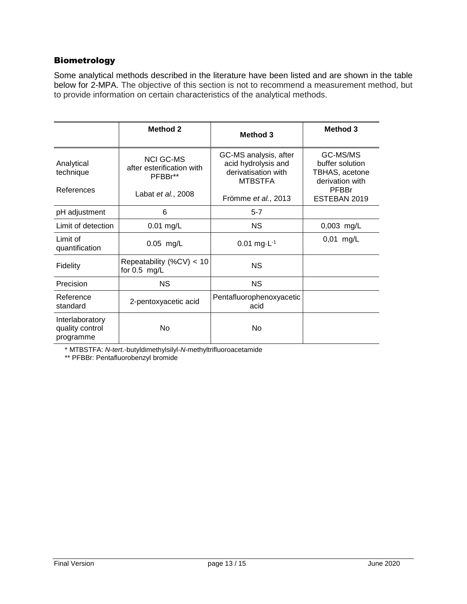### Biometrology

Some analytical methods described in the literature have been listed and are shown in the table below for 2-MPA. The objective of this section is not to recommend a measurement method, but to provide information on certain characteristics of the analytical methods.

|                                                 | <b>Method 2</b>                                          | Method 3                                                                              | <b>Method 3</b>                                                  |
|-------------------------------------------------|----------------------------------------------------------|---------------------------------------------------------------------------------------|------------------------------------------------------------------|
| Analytical<br>technique                         | <b>NCI GC-MS</b><br>after esterification with<br>PFBBr** | GC-MS analysis, after<br>acid hydrolysis and<br>derivatisation with<br><b>MTBSTFA</b> | GC-MS/MS<br>buffer solution<br>TBHAS, acetone<br>derivation with |
| References                                      | Labat <i>et al.</i> , 2008                               | Frömme et al., 2013                                                                   | PFBBr<br>ESTEBAN 2019                                            |
| pH adjustment                                   | 6                                                        | $5 - 7$                                                                               |                                                                  |
| Limit of detection                              | $0.01$ mg/L                                              | <b>NS</b>                                                                             | $0,003$ mg/L                                                     |
| Limit of<br>quantification                      | $0.05$ mg/L                                              | $0.01$ mg $\cdot$ L <sup>-1</sup>                                                     | $0,01$ mg/L                                                      |
| <b>Fidelity</b>                                 | Repeatability (%CV) < 10<br>for $0.5$ mg/L               | <b>NS</b>                                                                             |                                                                  |
| Precision                                       | <b>NS</b>                                                | NS.                                                                                   |                                                                  |
| Reference<br>standard                           | 2-pentoxyacetic acid                                     | Pentafluorophenoxyacetic<br>acid                                                      |                                                                  |
| Interlaboratory<br>quality control<br>programme | No                                                       | No                                                                                    |                                                                  |

\* MTBSTFA: *N*-*tert*.-butyldimethylsilyl-*N*-methyltrifluoroacetamide

\*\* PFBBr: Pentafluorobenzyl bromide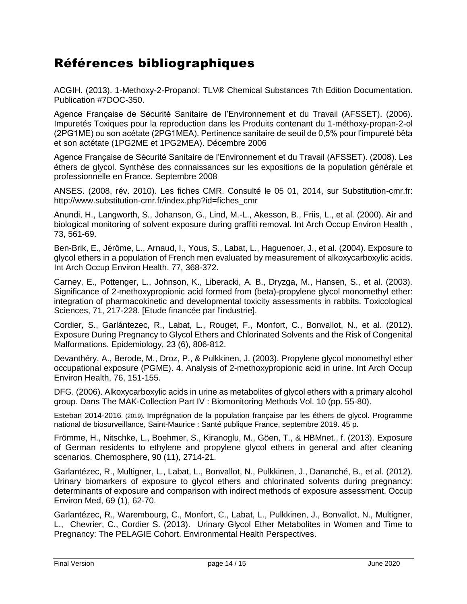# Références bibliographiques

ACGIH. (2013). 1-Methoxy-2-Propanol: TLV® Chemical Substances 7th Edition Documentation. Publication #7DOC-350.

Agence Française de Sécurité Sanitaire de l'Environnement et du Travail (AFSSET). (2006). Impuretés Toxiques pour la reproduction dans les Produits contenant du 1-méthoxy-propan-2-ol (2PG1ME) ou son acétate (2PG1MEA). Pertinence sanitaire de seuil de 0,5% pour l'impureté bêta et son actétate (1PG2ME et 1PG2MEA). Décembre 2006

Agence Française de Sécurité Sanitaire de l'Environnement et du Travail (AFSSET). (2008). Les éthers de glycol. Synthèse des connaissances sur les expositions de la population générale et professionnelle en France. Septembre 2008

ANSES. (2008, rév. 2010). Les fiches CMR. Consulté le 05 01, 2014, sur Substitution-cmr.fr: http://www.substitution-cmr.fr/index.php?id=fiches\_cmr

Anundi, H., Langworth, S., Johanson, G., Lind, M.-L., Akesson, B., Friis, L., et al. (2000). Air and biological monitoring of solvent exposure during graffiti removal. Int Arch Occup Environ Health , 73, 561-69.

Ben-Brik, E., Jérôme, L., Arnaud, I., Yous, S., Labat, L., Haguenoer, J., et al. (2004). Exposure to glycol ethers in a population of French men evaluated by measurement of alkoxycarboxylic acids. Int Arch Occup Environ Health. 77, 368-372.

Carney, E., Pottenger, L., Johnson, K., Liberacki, A. B., Dryzga, M., Hansen, S., et al. (2003). Significance of 2-methoxypropionic acid formed from (beta)-propylene glycol monomethyl ether: integration of pharmacokinetic and developmental toxicity assessments in rabbits. Toxicological Sciences, 71, 217-228. [Etude financée par l'industrie].

Cordier, S., Garlántezec, R., Labat, L., Rouget, F., Monfort, C., Bonvallot, N., et al. (2012). Exposure During Pregnancy to Glycol Ethers and Chlorinated Solvents and the Risk of Congenital Malformations. Epidemiology, 23 (6), 806-812.

Devanthéry, A., Berode, M., Droz, P., & Pulkkinen, J. (2003). Propylene glycol monomethyl ether occupational exposure (PGME). 4. Analysis of 2-methoxypropionic acid in urine. Int Arch Occup Environ Health, 76, 151-155.

DFG. (2006). Alkoxycarboxylic acids in urine as metabolites of glycol ethers with a primary alcohol group. Dans The MAK-Collection Part IV : Biomonitoring Methods Vol. 10 (pp. 55-80).

Esteban 2014-2016. (2019). Imprégnation de la population française par les éthers de glycol. Programme national de biosurveillance, Saint-Maurice : Santé publique France, septembre 2019. 45 p.

Frömme, H., Nitschke, L., Boehmer, S., Kiranoglu, M., Göen, T., & HBMnet., f. (2013). Exposure of German residents to ethylene and propylene glycol ethers in general and after cleaning scenarios. Chemosphere, 90 (11), 2714-21.

Garlantézec, R., Multigner, L., Labat, L., Bonvallot, N., Pulkkinen, J., Dananché, B., et al. (2012). Urinary biomarkers of exposure to glycol ethers and chlorinated solvents during pregnancy: determinants of exposure and comparison with indirect methods of exposure assessment. Occup Environ Med, 69 (1), 62-70.

Garlantézec, R., Warembourg, C., Monfort, C., Labat, L., Pulkkinen, J., Bonvallot, N., Multigner, L., Chevrier, C., Cordier S. (2013). Urinary Glycol Ether Metabolites in Women and Time to Pregnancy: The PELAGIE Cohort. Environmental Health Perspectives.